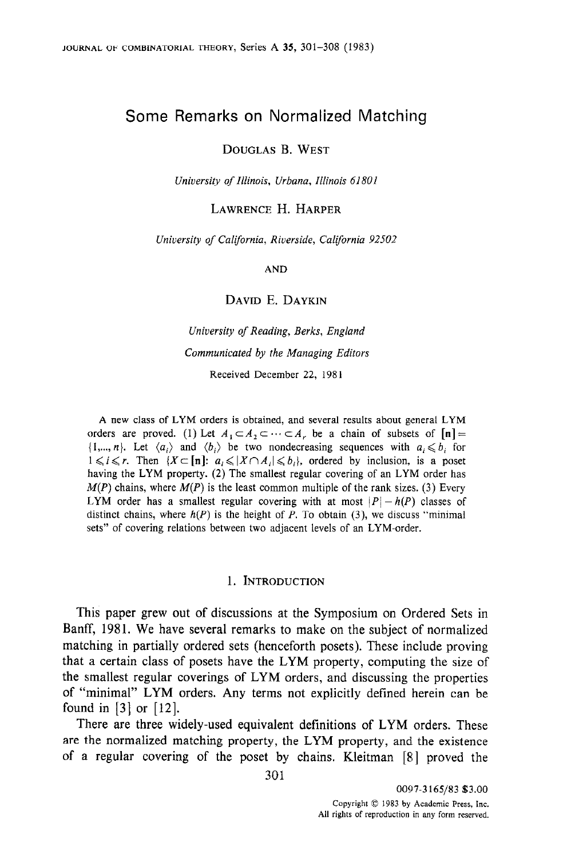# Some Remarks on Normalized Matching

DOUGLAS B. WEST

University of Illinois, Urbana, Illinois 61801

LAWRENCE H. HARPER

University of California, Riverside, California 92502

AND

DAVID E. DAYKIN

University of Reading, Berks, England Communicated by the Managing Editors Received December 22, 1981

A new class of LYM orders is obtained, and several results about general LYM orders are proved. (1) Let  $A_1 \subset A_2 \subset \cdots \subset A_r$ , be a chain of subsets of  $[n] =$  $\{1,...,n\}$ . Let  $\langle a_i \rangle$  and  $\langle b_i \rangle$  be two nondecreasing sequences with  $a_i \leq b_i$  for  $1 \leq i \leq r$ . Then  $\{X \subset [n] : a_i \leq |X \cap A_i| \leq b_i\}$ , ordered by inclusion, is a poset having the LYM property. (2) The smallest regular covering of an LYM order has  $M(P)$  chains, where  $M(P)$  is the least common multiple of the rank sizes. (3) Every LYM order has a smallest regular covering with at most  $|P| - h(P)$  classes of distinct chains, where  $h(P)$  is the height of P. To obtain (3), we discuss "minimal sets" of covering relations between two adjacent levels of an LYM-order.

### 1. INTRODUCTION

This paper grew out of discussions at the Symposium on Ordered Sets in Banff, 1981. We have several remarks to make on the subject of normalized matching in partially ordered sets (henceforth posets). These include proving that a certain class of posets have the LYM property, computing the size of the smallest regular coverings of LYM orders, and discussing the properties of "minimal" LYM orders. Any terms not explicitly defined herein can be found in [3] or [12].

There are three widely-used equivalent definitions of LYM orders. These are the normalized matching property, the LYM property, and the existence of a regular covering of the poset by chains. Kleitman [8] proved the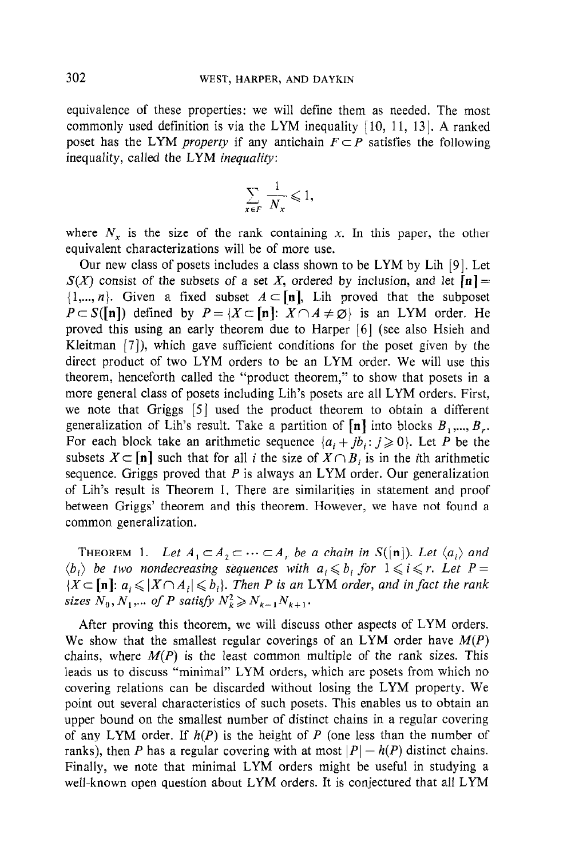equivalence of these properties: we will define them as needed. The most commonly used definition is via the LYM inequality  $[10, 11, 13]$ . A ranked poset has the LYM *property* if any antichain  $F \subset P$  satisfies the following inequality, called the LYM inequality:

$$
\sum_{x \in F} \frac{1}{N_x} \leqslant 1,
$$

where  $N_x$  is the size of the rank containing x. In this paper, the other equivalent characterizations will be of more use.

Our new class of posets includes a class shown to be LYM by Lih [9]. Let  $S(X)$  consist of the subsets of a set X, ordered by inclusion, and let  $[n] =$  $\{1,...,n\}$ . Given a fixed subset  $A \subset [n]$ , Lih proved that the subposet  $P \subset S([n])$  defined by  $P = \{X \subset [n]: X \cap A \neq \emptyset\}$  is an LYM order. He proved this using an early theorem due to Harper [6] (see also Hsieh and Kleitman [7]), which gave sufficient conditions for the poset given by the direct product of two LYM orders to be an LYM order. We will use this theorem, henceforth called the "product theorem," to show that posets in a more general class of posets including Lih's posets are all LYM orders. First, we note that Griggs [5] used the product theorem to obtain a different generalization of Lih's result. Take a partition of  $[n]$  into blocks  $B_1, ..., B_r$ . For each block take an arithmetic sequence  $\{a_i + jb_j : j \ge 0\}$ . Let P be the subsets  $X \subseteq [n]$  such that for all i the size of  $X \cap B_i$  is in the ith arithmetic sequence. Griggs proved that  $P$  is always an LYM order. Our generalization of Lih's result is Theorem 1. There are similarities in statement and proof between Griggs' theorem and this theorem. However, we have not found a common generalization.

THEOREM 1. Let  $A_1 \subset A_2 \subset \cdots \subset A_r$  be a chain in  $S([n])$ . Let  $\langle a_i \rangle$  and  $\langle b_i \rangle$  be two nondecreasing sequences with  $a_i \leqslant b_i$  for  $1 \leqslant i \leqslant r$ . Let  $P =$  ${X \subseteq [n]: a_i \leqslant |X \cap A_i| \leqslant b_i}$ . Then P is an LYM order, and in fact the rank sizes  $N_0, N_1, \dots$  of P satisfy  $N_k^2 \ge N_{k-1}N_{k+1}$ .

After proving this theorem, we will discuss other aspects of LYM orders. We show that the smallest regular coverings of an LYM order have  $M(P)$ chains, where  $M(P)$  is the least common multiple of the rank sizes. This leads us to discuss "minimal" LYM orders, which are posets from which no covering relations can be discarded without losing the LYM property. We point out several characteristics of such posets. This enables us to obtain an upper bound on the smallest number of distinct chains in a regular covering of any LYM order. If  $h(P)$  is the height of P (one less than the number of ranks), then P has a regular covering with at most  $|P| - h(P)$  distinct chains. Finally, we note that minimal LYM orders might be useful in studying a well-known open question about LYM orders. It is conjectured that all LYM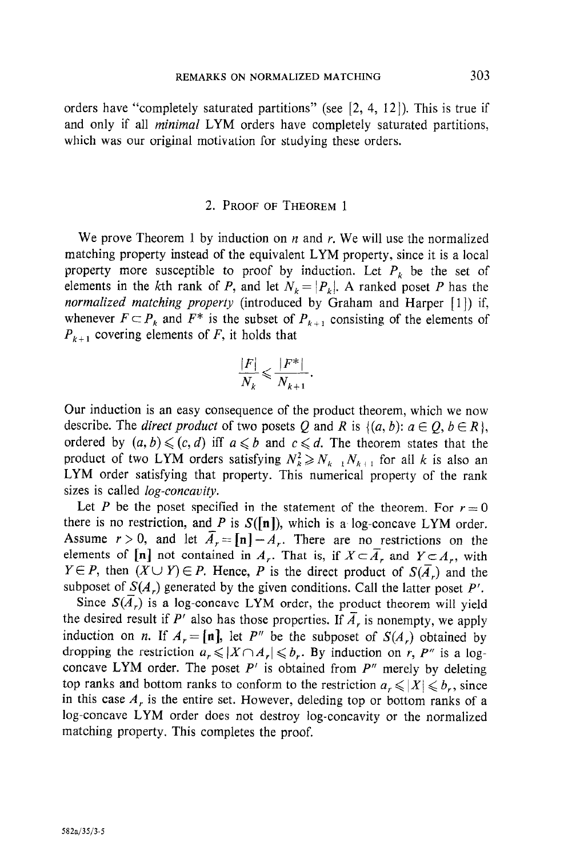orders have "completely saturated partitions" (see  $[2, 4, 12]$ ). This is true if and only if all *minimal* LYM orders have completely saturated partitions, which was our original motivation for studying these orders.

#### 2. PROOF OF THEOREM 1

We prove Theorem 1 by induction on  $n$  and  $r$ . We will use the normalized matching property instead of the equivalent LYM property, since it is a local property more susceptible to proof by induction. Let  $P_k$  be the set of elements in the kth rank of P, and let  $N_k = |P_k|$ . A ranked poset P has the normalized matching property (introduced by Graham and Harper [1]) if, whenever  $F \subset P_k$  and  $F^*$  is the subset of  $P_{k+1}$  consisting of the elements of  $P_{k+1}$  covering elements of F, it holds that

$$
\frac{|F|}{N_k} \leqslant \frac{|F^*|}{N_{k+1}}.
$$

Our induction is an easy consequence of the product theorem, which we now describe. The *direct product* of two posets Q and R is  $\{(a, b): a \in Q, b \in R\}$ , ordered by  $(a, b) \leqslant (c, d)$  iff  $a \leqslant b$  and  $c \leqslant d$ . The theorem states that the product of two LYM orders satisfying  $N_k^2 \ge N_{k-1} N_{k+1}$  for all k is also an LYM order satisfying that property. This numerical property of the rank sizes is called *log-concavity*.

Let P be the poset specified in the statement of the theorem. For  $r = 0$ there is no restriction, and P is  $S([n])$ , which is a log-concave LYM order. Assume  $r > 0$ , and let  $\overline{A}_{r} = \ln |-A_{r}$ . There are no restrictions on the elements of [n] not contained in A<sub>n</sub>. That is, if  $X \subset \overline{A}$  and  $Y \subset A$ , with  $Y \in P$ , then  $(X \cup Y) \in P$ . Hence, P is the direct product of  $S(\overline{A}_r)$  and the subposet of  $S(A_r)$  generated by the given conditions. Call the latter poset P'.

Since  $S(\overline{A}_r)$  is a log-concave LYM order, the product theorem will yield the desired result if P' also has those properties. If  $\overline{A}_r$ , is nonempty, we apply induction on n. If  $A_r = [n]$ , let P'' be the subposet of  $S(A_r)$  obtained by dropping the restriction  $a_r \leqslant |X \cap A_r| \leqslant b_r$ . By induction on r, P'' is a logconcave LYM order. The poset  $P'$  is obtained from  $P''$  merely by deleting top ranks and bottom ranks to conform to the restriction  $a_r \leqslant |X| \leqslant b_r$ , since in this case  $A<sub>r</sub>$  is the entire set. However, deleding top or bottom ranks of a log-concave LYM order does not destroy log-concavity or the normalized matching property. This completes the proof.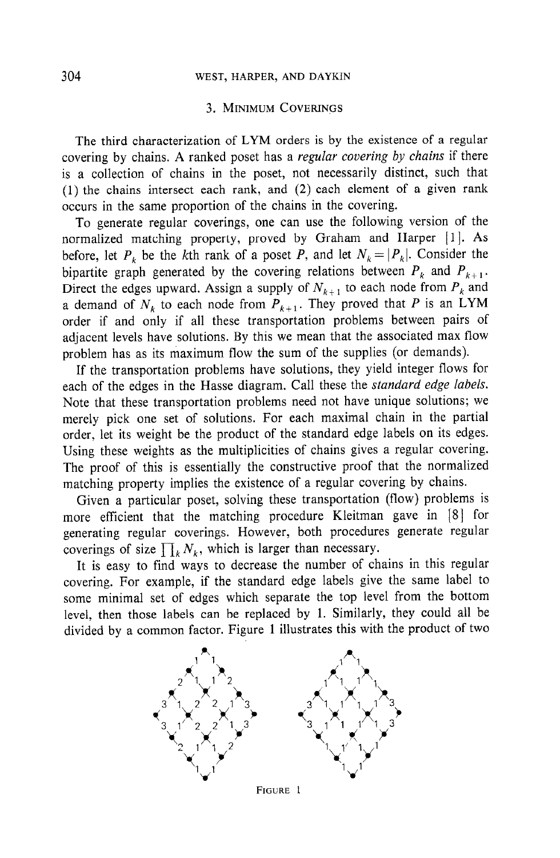## 304 WEST, HARPER, AND DAYKIN

#### 3. MINIMUM COVERINGS

The third characterization of LYM orders is by the existence of a regular covering by chains. A ranked poset has a regular covering by chains if there is a collection of chains in the poset, not necessarily distinct, such that (1) the chains intersect each rank, and (2) each element of a given rank occurs in the same proportion of the chains in the covering.

To generate regular coverings, one can use the following version of the normalized matching property, proved by Graham and Harper [1]. As before, let  $P_k$  be the kth rank of a poset P, and let  $N_k = |P_k|$ . Consider the bipartite graph generated by the covering relations between  $P_k$  and  $P_{k+1}$ . Direct the edges upward. Assign a supply of  $N_{k+1}$  to each node from  $P_k$  and a demand of  $N_k$  to each node from  $P_{k+1}$ . They proved that P is an LYM order if and only if all these transportation problems between pairs of adjacent levels have solutions. By this we mean that the associated max flow problem has as its maximum flow the sum of the supplies (or demands).

If the transportation problems have solutions, they yield integer flows for each of the edges in the Hasse diagram. Call these the standard edge labels. Note that these transportation problems need not have unique solutions; we merely pick one set of solutions. For each maximal chain in the partial order, let its weight be the product of the standard edge labels on its edges. Using these weights as the multiplicities of chains gives a regular covering. The proof of this is essentially the constructive proof that the normalized matching property implies the existence of a regular covering by chains.

Given a particular poset, solving these transportation (flow) problems is more efficient that the matching procedure Kleitman gave in [S] for generating regular coverings. However, both procedures generate regular coverings of size  $\prod_k N_k$ , which is larger than necessary.

It is easy to find ways to decrease the number of chains in this regular covering. For example, if the standard edge labels give the same label to some minimal set of edges which separate the top level from the bottom level, then those labels can be replaced by 1. Similarly, they could all be divided by a common factor. Figure 1 illustrates this with the product of two



FIGURE 1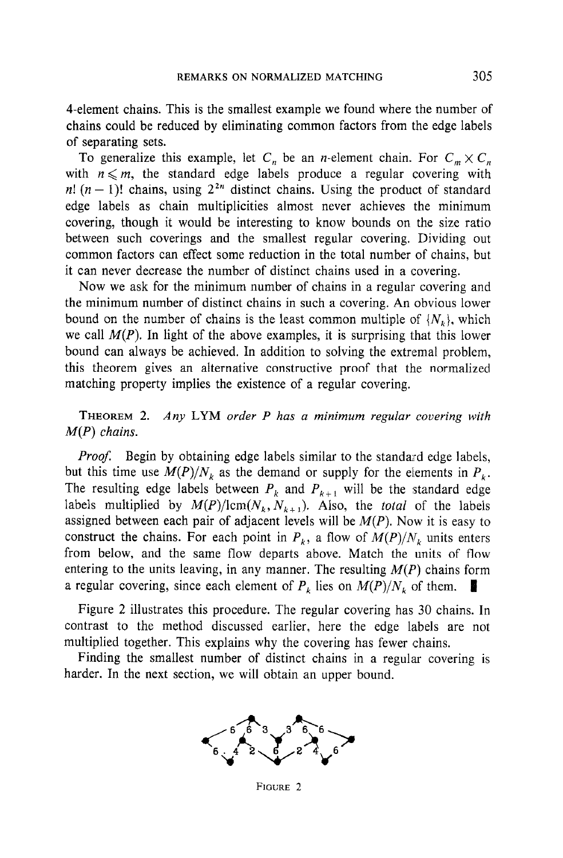4-element chains. This is the smallest example we found where the number of chains could be reduced by eliminating common factors from the edge labels of separating sets.

To generalize this example, let  $C_n$  be an *n*-element chain. For  $C_m \times C_n$ with  $n \leq m$ , the standard edge labels produce a regular covering with n!  $(n - 1)!$  chains, using  $2^{2n}$  distinct chains. Using the product of standard edge labels as chain multiplicities almost never achieves the minimum covering, though it would be interesting to know bounds on the size ratio between such coverings and the smallest regular covering. Dividing out common factors can effect some reduction in the total number of chains, but it can never decrease the number of distinct chains used in a covering.

Now we ask for the minimum number of chains in a regular covering and the minimum number of distinct chains in such a covering. An obvious lower bound on the number of chains is the least common multiple of  $\{N_k\}$ , which we call  $M(P)$ . In light of the above examples, it is surprising that this lower bound can always be achieved. In addition to solving the extremal problem, this theorem gives an alternative constructive proof that the normalized matching property implies the existence of a regular covering.

THEOREM 2. Any LYM order P has a minimum regular covering with  $M(P)$  chains.

Proof. Begin by obtaining edge labels similar to the standard edge labels, but this time use  $M(P)/N_k$  as the demand or supply for the elements in  $P_k$ . The resulting edge labels between  $P_k$  and  $P_{k+1}$  will be the standard edge labels multiplied by  $M(P)/\text{lcm}(N_k, N_{k+1})$ . Also, the *total* of the labels assigned between each pair of adjacent levels will be  $M(P)$ . Now it is easy to construct the chains. For each point in  $P_k$ , a flow of  $M(P)/N_k$  units enters from below, and the same flow departs above. Match the units of flow entering to the units leaving, in any manner. The resulting  $M(P)$  chains form a regular covering, since each element of  $P_k$  lies on  $M(P)/N_k$  of them.

Figure 2 illustrates this procedure. The regular covering has 30 chains. In contrast to the method discussed earlier, here the edge labels are not multiplied together. This explains why the covering has fewer chains.

Finding the smallest number of distinct chains in a regular covering is harder. In the next section, we will obtain an upper bound.



FIGURE 2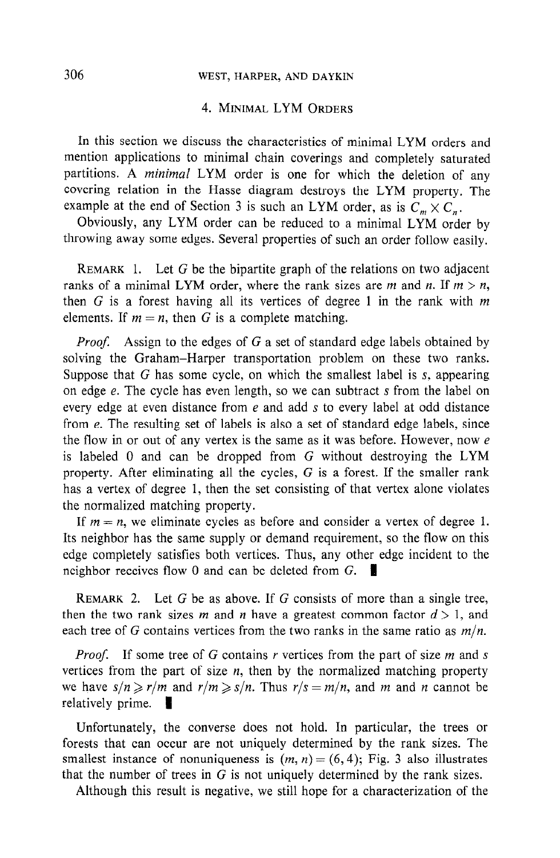## 306 WEST, HARPER, AND DAYKIN

### 4. MINIMAL LYM ORDERS

In this section we discuss the characteristics of minimal LYM orders and mention applications to minimal chain coverings and completely saturated partitions. A minimal LYM order is one for which the deletion of any covering relation in the Hasse diagram destroys the LYM property. The example at the end of Section 3 is such an LYM order, as is  $C_m \times C_n$ .

Obviously, any LYM order can be reduced to a minimal LYM order by throwing away some edges. Several properties of such an order follow easily.

REMARK 1. Let G be the bipartite graph of the relations on two adjacent ranks of a minimal LYM order, where the rank sizes are m and n. If  $m > n$ , then G is a forest having all its vertices of degree 1 in the rank with  $m$ elements. If  $m = n$ , then G is a complete matching.

*Proof.* Assign to the edges of  $G$  a set of standard edge labels obtained by solving the Graham-Harper transportation problem on these two ranks. Suppose that G has some cycle, on which the smallest label is s, appearing on edge e. The cycle has even length, so we can subtract s from the label on every edge at even distance from e and add s to every label at odd distance from e. The resulting set of labels is also a set of standard edge labels, since the flow in or out of any vertex is the same as it was before. However, now  $e$ is labeled 0 and can be dropped from G without destroying the LYM property. After eliminating all the cycles, G is a forest. If the smaller rank has a vertex of degree 1, then the set consisting of that vertex alone violates the normalized matching property.

If  $m = n$ , we eliminate cycles as before and consider a vertex of degree 1. Its neighbor has the same supply or demand requirement, so the flow on this edge completely satisfies both vertices. Thus, any other edge incident to the neighbor receives flow 0 and can be deleted from  $G$ .

REMARK 2. Let  $G$  be as above. If  $G$  consists of more than a single tree, then the two rank sizes m and n have a greatest common factor  $d > 1$ , and each tree of G contains vertices from the two ranks in the same ratio as  $m/n$ .

*Proof.* If some tree of G contains r vertices from the part of size  $m$  and  $s$ vertices from the part of size  $n$ , then by the normalized matching property vertices from the part of size  $n_i$  then  $y_i$  the normalized materials property we have  $s/n \ge r/m$  as

 $U$  is the converse does not hold. In particular, the trees or the trees or the trees or the trees or the trees or the trees or the trees or the trees or the trees or the trees or the trees or the trees or the trees or th fortunately, the converse does not not in particular, the trees of forests that can occur are not uniquely determined by the rank sizes. The smallest instance of nonuniqueness is  $(m, n) = (6, 4)$ ; Fig. 3 also illustrates. that the number of trees in  $G$  is not uniquely determined by the rank sizes.<br>Although this result is negative, we still hope for a characterization of the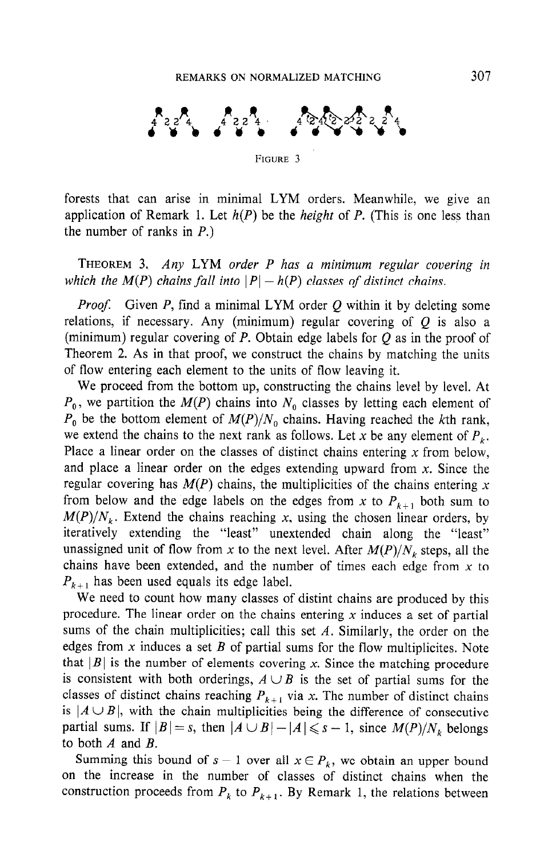

forests that can arise in minimal LYM orders. Meanwhile, we give an application of Remark 1. Let  $h(P)$  be the *height* of P. (This is one less than the number of ranks in P.)

THEOREM 3. Any LYM order P has a minimum regular covering in which the  $M(P)$  chains fall into  $|P| - h(P)$  classes of distinct chains.

*Proof.* Given P, find a minimal LYM order  $Q$  within it by deleting some relations, if necessary. Any (minimum) regular covering of  $Q$  is also a (minimum) regular covering of P. Obtain edge labels for  $O$  as in the proof of Theorem 2. As in that proof, we construct the chains by matching the units of flow entering each element to the units of flow leaving it.

We proceed from the bottom up, constructing the chains level by level. At  $P_0$ , we partition the  $M(P)$  chains into  $N_0$  classes by letting each element of  $P_0$  be the bottom element of  $M(P)/N_0$  chains. Having reached the kth rank, we extend the chains to the next rank as follows. Let x be any element of  $P_{\iota}$ . Place a linear order on the classes of distinct chains entering  $x$  from below, and place a linear order on the edges extending upward from  $x$ . Since the regular covering has  $M(P)$  chains, the multiplicities of the chains entering x from below and the edge labels on the edges from x to  $P_{k+1}$  both sum to  $M(P)/N<sub>k</sub>$ . Extend the chains reaching x, using the chosen linear orders, by iteratively extending the "least" unextended chain along the "least" unassigned unit of flow from x to the next level. After  $M(P)/N_k$  steps, all the chains have been extended, and the number of times each edge from  $x$  to  $P_{k+1}$  has been used equals its edge label.

We need to count how many classes of distint chains are produced by this procedure. The linear order on the chains entering  $x$  induces a set of partial sums of the chain multiplicities; call this set  $A$ . Similarly, the order on the edges from x induces a set B of partial sums for the flow multiplicites. Note that  $|B|$  is the number of elements covering x. Since the matching procedure is consistent with both orderings,  $A \cup B$  is the set of partial sums for the classes of distinct chains reaching  $P_{k+1}$  via x. The number of distinct chains  $i_{\alpha}$  is interesting the chain multiplicity of consecutive of consecutives being the difference of consecutive of consecutive or consecutive or consecutive or consecutive or consecutive or consecutive or consecutive or  $p_1 \cup D_p$ , with the enam indisplicities being the difference of consecutive partial sums. If  $|B| = s$ , then  $|A \cup B| - |A| \le s - 1$ , since  $M(P)/N_k$  belongs to both A and B.  $S = \begin{bmatrix} 1 & 1 & 1 \\ 2 & 3 & 1 \end{bmatrix}$ 

but the increase in the number of classes of classes of distinct chains when the increase of distinct chains when the set of classes of distinct chains when the set of classes of contract chains when the set of contract c on the increase in the number of classes of distinct chains when the construction proceeds from  $P_k$  to  $P_{k+1}$ . By Remark 1, the relations between